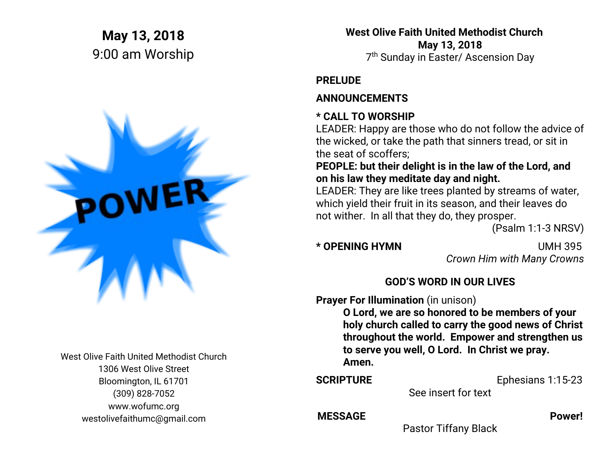# **May 13, 2018** 9:00 am Worship



West Olive Faith United Methodist Church 1306 West Olive Street Bloomington, IL 61701 (309) 828-7052 www.wofumc.org westolivefaithumc@gmail.com

 **West Olive Faith United Methodist Church May 13, 2018** 7 th Sunday in Easter/ Ascension Day

# **PRELUDE**

# **ANNOUNCEMENTS**

# **\* CALL TO WORSHIP**

LEADER: Happy are those who do not follow the advice of the wicked, or take the path that sinners tread, or sit in the seat of scoffers;

**PEOPLE: but their delight is in the law of the Lord, and on his law they meditate day and night.** 

LEADER: They are like trees planted by streams of water, which yield their fruit in its season, and their leaves do not wither. In all that they do, they prosper.

(Psalm 1:1-3 NRSV)

**\* OPENING HYMN** UMH 395 *Crown Him with Many Crowns*

# **GOD'S WORD IN OUR LIVES**

**Prayer For Illumination** (in unison)

**O Lord, we are so honored to be members of your holy church called to carry the good news of Christ throughout the world. Empower and strengthen us to serve you well, O Lord. In Christ we pray. Amen.**

#### **SCRIPTURE** Ephesians 1:15-23

See insert for text

#### MESSAGE Power!

Pastor Tiffany Black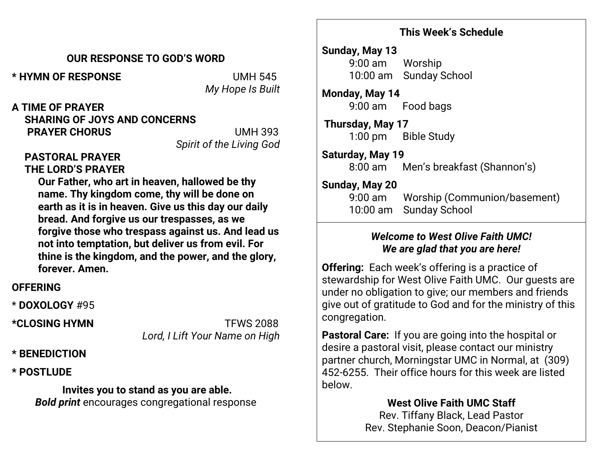#### **This Week's Schedule**

#### **OUR RESPONSE TO GOD'S WORD**

**\* HYMN OF RESPONSE** UMH 545

*My Hope Is Built*

**A TIME OF PRAYER SHARING OF JOYS AND CONCERNS PRAYER CHORUS** UMH 393

*Spirit of the Living God*

### **PASTORAL PRAYER THE LORD'S PRAYER**

**Our Father, who art in heaven, hallowed be thy name. Thy kingdom come, thy will be done on earth as it is in heaven. Give us this day our daily bread. And forgive us our trespasses, as we forgive those who trespass against us. And lead us not into temptation, but deliver us from evil. For thine is the kingdom, and the power, and the glory, forever. Amen.**

# **OFFERING**

\* **DOXOLOGY** #95

**\*CLOSING HYMN** TFWS 2088 *Lord, I Lift Your Name on High*

#### **\* BENEDICTION**

### **\* POSTLUDE**

# **Invites you to stand as you are able.**

*Bold print* encourages congregational response

#### **Sunday, May 13** 9:00 am Worship 10:00 am Sunday School

**Monday, May 14** 9:00 am Food bags

 **Thursday, May 17** 1:00 pm Bible Study

### **Saturday, May 19**

8:00 am Men's breakfast (Shannon's)

### **Sunday, May 20**

 9:00 am Worship (Communion/basement) 10:00 am Sunday School

# *Welcome to West Olive Faith UMC! We are glad that you are here!*

**Offering:** Each week's offering is a practice of stewardship for West Olive Faith UMC. Our guests are under no obligation to give; our members and friends give out of gratitude to God and for the ministry of this congregation.

**Pastoral Care:** If you are going into the hospital or desire a pastoral visit, please contact our ministry partner church, Morningstar UMC in Normal, at (309) 452-6255. Their office hours for this week are listed below.

# **West Olive Faith UMC Staff**

Rev. Tiffany Black, Lead Pastor Rev. Stephanie Soon, Deacon/Pianist